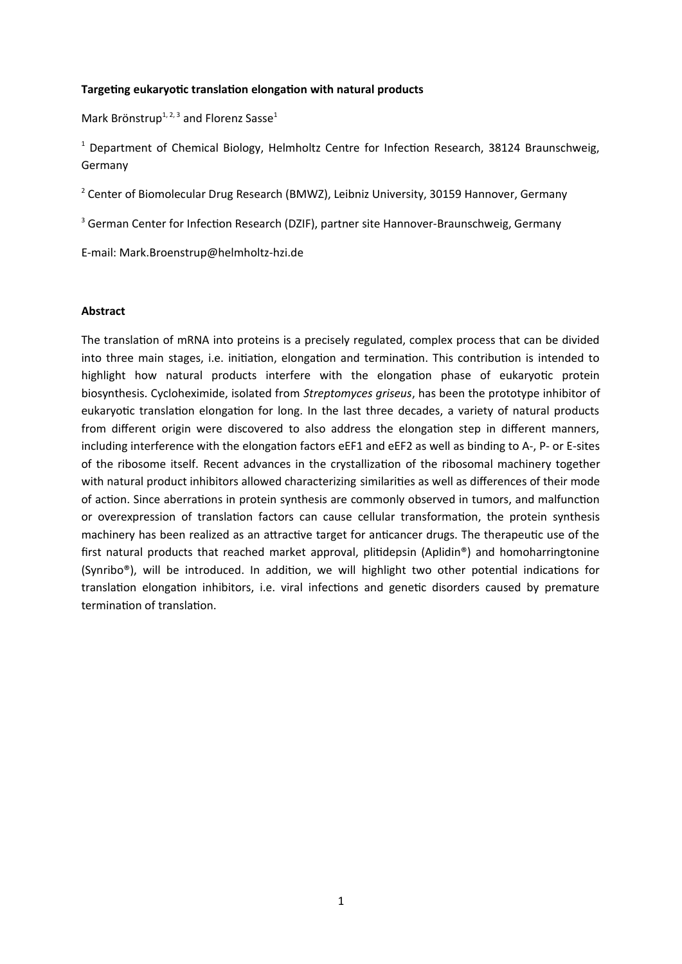## **Targeting eukaryotic translation elongation with natural products**

Mark Brönstrup<sup>1, 2, 3</sup> and Florenz Sasse<sup>1</sup>

<sup>1</sup> Department of Chemical Biology, Helmholtz Centre for Infection Research, 38124 Braunschweig, Germany

<sup>2</sup> Center of Biomolecular Drug Research (BMWZ), Leibniz University, 30159 Hannover, Germany

<sup>3</sup> German Center for Infection Research (DZIF), partner site Hannover-Braunschweig, Germany

E-mail: Mark.Broenstrup@helmholtz-hzi.de

#### **Abstract**

The translation of mRNA into proteins is a precisely regulated, complex process that can be divided into three main stages, i.e. initiation, elongation and termination. This contribution is intended to highlight how natural products interfere with the elongation phase of eukaryotic protein biosynthesis. Cycloheximide, isolated from *Streptomyces griseus*, has been the prototype inhibitor of eukaryotic translation elongation for long. In the last three decades, a variety of natural products from different origin were discovered to also address the elongation step in different manners, including interference with the elongation factors eEF1 and eEF2 as well as binding to A-, P- or E-sites of the ribosome itself. Recent advances in the crystallization of the ribosomal machinery together with natural product inhibitors allowed characterizing similarities as well as differences of their mode of action. Since aberrations in protein synthesis are commonly observed in tumors, and malfunction or overexpression of translation factors can cause cellular transformation, the protein synthesis machinery has been realized as an attractive target for anticancer drugs. The therapeutic use of the first natural products that reached market approval, plitidepsin (Aplidin®) and homoharringtonine (Synribo®), will be introduced. In addition, we will highlight two other potential indications for translation elongation inhibitors, i.e. viral infections and genetic disorders caused by premature termination of translation.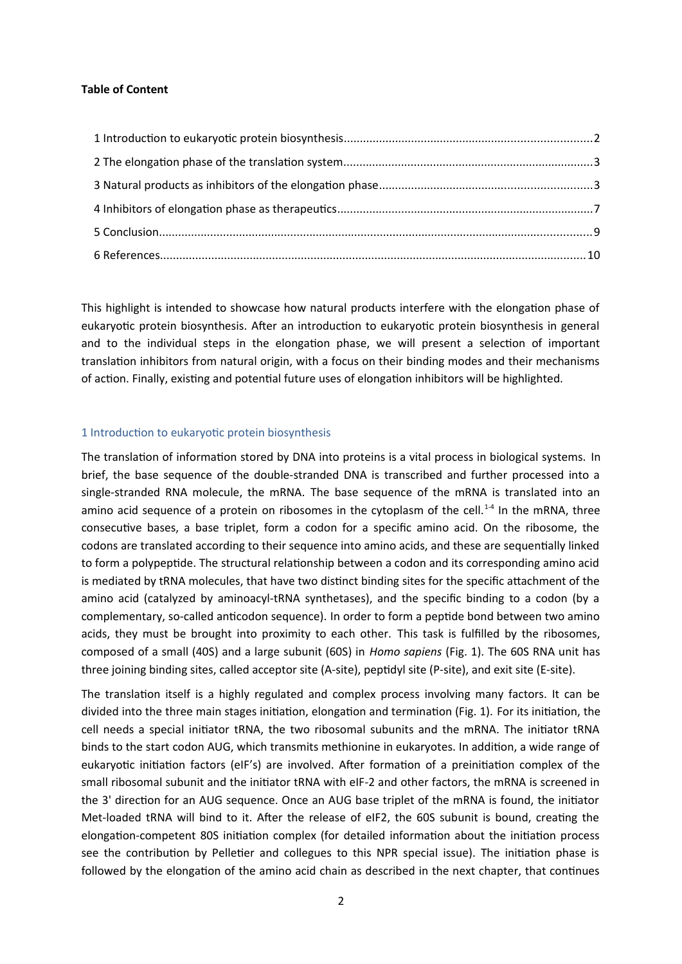## **Table of Content**

This highlight is intended to showcase how natural products interfere with the elongation phase of eukaryotic protein biosynthesis. After an introduction to eukaryotic protein biosynthesis in general and to the individual steps in the elongation phase, we will present a selection of important translation inhibitors from natural origin, with a focus on their binding modes and their mechanisms of action. Finally, existing and potential future uses of elongation inhibitors will be highlighted.

## <span id="page-1-0"></span>1 Introduction to eukaryotic protein biosynthesis

The translation of information stored by DNA into proteins is a vital process in biological systems. In brief, the base sequence of the double-stranded DNA is transcribed and further processed into a single-stranded RNA molecule, the mRNA. The base sequence of the mRNA is translated into an amino acid sequence of a protein on ribosomes in the cytoplasm of the cell.<sup>1-4</sup> In the mRNA, three consecutive bases, a base triplet, form a codon for a specific amino acid. On the ribosome, the codons are translated according to their sequence into amino acids, and these are sequentially linked to form a polypeptide. The structural relationship between a codon and its corresponding amino acid is mediated by tRNA molecules, that have two distinct binding sites for the specific attachment of the amino acid (catalyzed by aminoacyl-tRNA synthetases), and the specific binding to a codon (by a complementary, so-called anticodon sequence). In order to form a peptide bond between two amino acids, they must be brought into proximity to each other. This task is fulfilled by the ribosomes, composed of a small (40S) and a large subunit (60S) in *Homo sapiens* (Fig. 1). The 60S RNA unit has three joining binding sites, called acceptor site (A-site), peptidyl site (P-site), and exit site (E-site).

The translation itself is a highly regulated and complex process involving many factors. It can be divided into the three main stages initiation, elongation and termination (Fig. 1). For its initiation, the cell needs a special initiator tRNA, the two ribosomal subunits and the mRNA. The initiator tRNA binds to the start codon AUG, which transmits methionine in eukaryotes. In addition, a wide range of eukaryotic initiation factors (eIF's) are involved. After formation of a preinitiation complex of the small ribosomal subunit and the initiator tRNA with eIF-2 and other factors, the mRNA is screened in the 3' direction for an AUG sequence. Once an AUG base triplet of the mRNA is found, the initiator Met-loaded tRNA will bind to it. After the release of eIF2, the 60S subunit is bound, creating the elongation-competent 80S initiation complex (for detailed information about the initiation process see the contribution by Pelletier and collegues to this NPR special issue). The initiation phase is followed by the elongation of the amino acid chain as described in the next chapter, that continues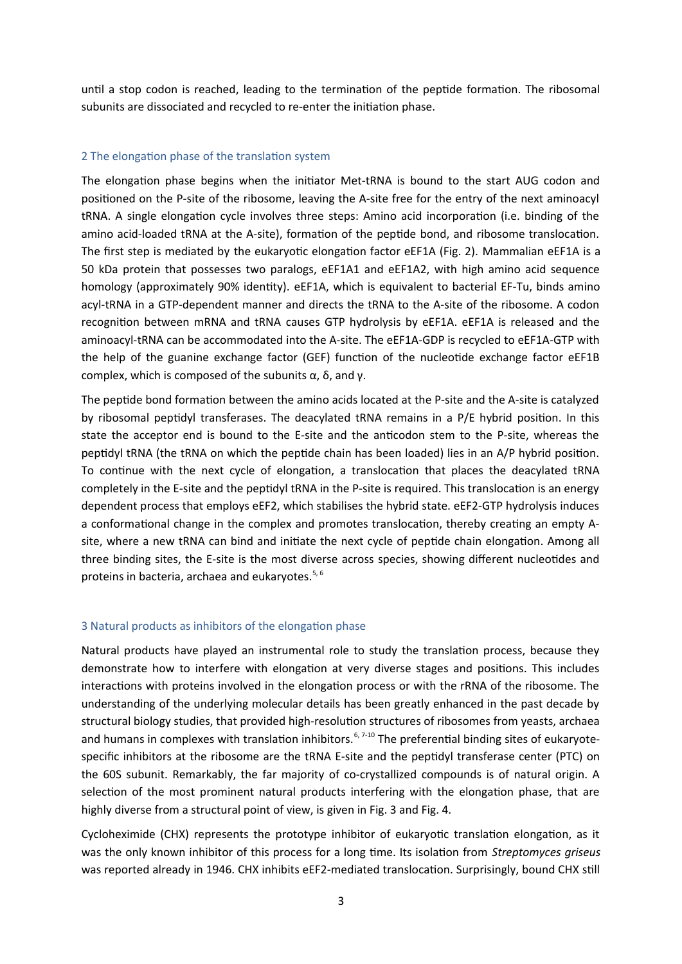until a stop codon is reached, leading to the termination of the peptide formation. The ribosomal subunits are dissociated and recycled to re-enter the initiation phase.

### <span id="page-2-1"></span>2 The elongation phase of the translation system

The elongation phase begins when the initiator Met-tRNA is bound to the start AUG codon and positioned on the P-site of the ribosome, leaving the A-site free for the entry of the next aminoacyl tRNA. A single elongation cycle involves three steps: Amino acid incorporation (i.e. binding of the amino acid-loaded tRNA at the A-site), formation of the peptide bond, and ribosome translocation. The first step is mediated by the eukaryotic elongation factor eEF1A (Fig. 2). Mammalian eEF1A is a 50 kDa protein that possesses two paralogs, eEF1A1 and eEF1A2, with high amino acid sequence homology (approximately 90% identity). eEF1A, which is equivalent to bacterial EF-Tu, binds amino acyl-tRNA in a GTP-dependent manner and directs the tRNA to the A-site of the ribosome. A codon recognition between mRNA and tRNA causes GTP hydrolysis by eEF1A. eEF1A is released and the aminoacyl-tRNA can be accommodated into the A-site. The eEF1A-GDP is recycled to eEF1A-GTP with the help of the guanine exchange factor (GEF) function of the nucleotide exchange factor eEF1B complex, which is composed of the subunits α, δ, and γ.

The peptide bond formation between the amino acids located at the P-site and the A-site is catalyzed by ribosomal peptidyl transferases. The deacylated tRNA remains in a P/E hybrid position. In this state the acceptor end is bound to the E-site and the anticodon stem to the P-site, whereas the peptidyl tRNA (the tRNA on which the peptide chain has been loaded) lies in an A/P hybrid position. To continue with the next cycle of elongation, a translocation that places the deacylated tRNA completely in the E-site and the peptidyl tRNA in the P-site is required. This translocation is an energy dependent process that employs eEF2, which stabilises the hybrid state. eEF2-GTP hydrolysis induces a conformational change in the complex and promotes translocation, thereby creating an empty Asite, where a new tRNA can bind and initiate the next cycle of peptide chain elongation. Among all three binding sites, the E-site is the most diverse across species, showing different nucleotides and proteins in bacteria, archaea and eukaryotes.<sup>5, 6</sup>

#### <span id="page-2-0"></span>3 Natural products as inhibitors of the elongation phase

Natural products have played an instrumental role to study the translation process, because they demonstrate how to interfere with elongation at very diverse stages and positions. This includes interactions with proteins involved in the elongation process or with the rRNA of the ribosome. The understanding of the underlying molecular details has been greatly enhanced in the past decade by structural biology studies, that provided high-resolution structures of ribosomes from yeasts, archaea and humans in complexes with translation inhibitors.<sup>6, 7-10</sup> The preferential binding sites of eukaryotespecific inhibitors at the ribosome are the tRNA E-site and the peptidyl transferase center (PTC) on the 60S subunit. Remarkably, the far majority of co-crystallized compounds is of natural origin. A selection of the most prominent natural products interfering with the elongation phase, that are highly diverse from a structural point of view, is given in Fig. 3 and Fig. 4.

Cycloheximide (CHX) represents the prototype inhibitor of eukaryotic translation elongation, as it was the only known inhibitor of this process for a long time. Its isolation from *Streptomyces griseus* was reported already in 1946. CHX inhibits eEF2-mediated translocation. Surprisingly, bound CHX still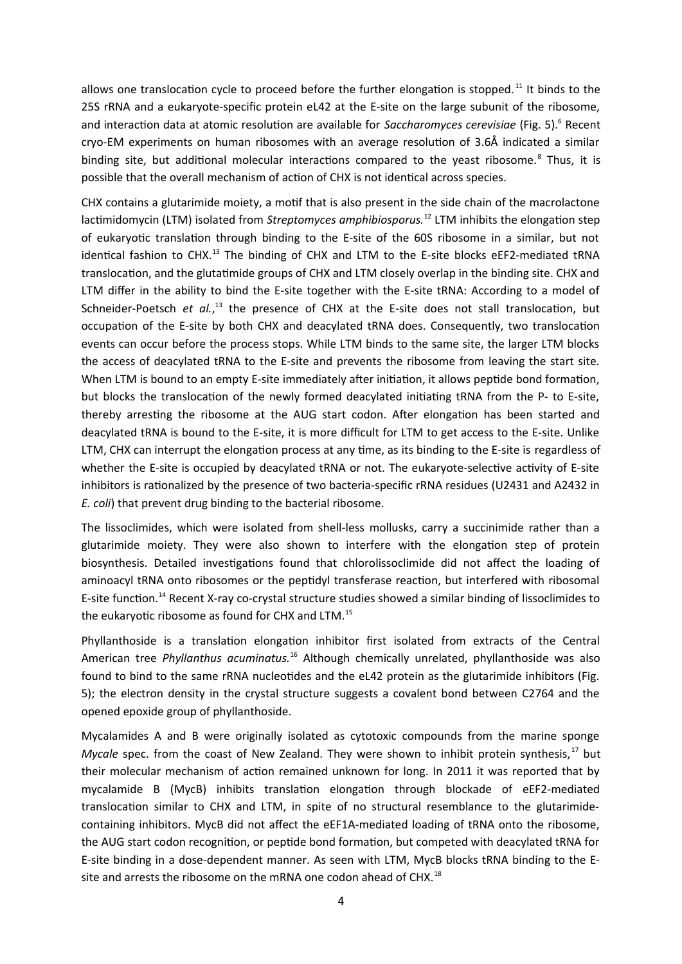allows one translocation cycle to proceed before the further elongation is stopped.<sup>11</sup> It binds to the 25S rRNA and a eukaryote-specific protein eL42 at the E-site on the large subunit of the ribosome, and interaction data at atomic resolution are available for Saccharomyces cerevisiae (Fig. 5).<sup>6</sup> Recent cryo-EM experiments on human ribosomes with an average resolution of 3.6Å indicated a similar binding site, but additional molecular interactions compared to the yeast ribosome.<sup>8</sup> Thus, it is possible that the overall mechanism of action of CHX is not identical across species.

CHX contains a glutarimide moiety, a motif that is also present in the side chain of the macrolactone lactimidomycin (LTM) isolated from *Streptomyces amphibiosporus.*<sup>12</sup> LTM inhibits the elongation step of eukaryotic translation through binding to the E-site of the 60S ribosome in a similar, but not identical fashion to CHX.<sup>13</sup> The binding of CHX and LTM to the E-site blocks eEF2-mediated tRNA translocation, and the glutatimide groups of CHX and LTM closely overlap in the binding site. CHX and LTM differ in the ability to bind the E-site together with the E-site tRNA: According to a model of Schneider-Poetsch et al.,<sup>13</sup> the presence of CHX at the E-site does not stall translocation, but occupation of the E-site by both CHX and deacylated tRNA does. Consequently, two translocation events can occur before the process stops. While LTM binds to the same site, the larger LTM blocks the access of deacylated tRNA to the E-site and prevents the ribosome from leaving the start site. When LTM is bound to an empty E-site immediately after initiation, it allows peptide bond formation, but blocks the translocation of the newly formed deacylated initiating tRNA from the P- to E-site, thereby arresting the ribosome at the AUG start codon. After elongation has been started and deacylated tRNA is bound to the E-site, it is more difficult for LTM to get access to the E-site. Unlike LTM, CHX can interrupt the elongation process at any time, as its binding to the E-site is regardless of whether the E-site is occupied by deacylated tRNA or not. The eukaryote-selective activity of E-site inhibitors is rationalized by the presence of two bacteria-specific rRNA residues (U2431 and A2432 in *E. coli*) that prevent drug binding to the bacterial ribosome.

The lissoclimides, which were isolated from shell-less mollusks, carry a succinimide rather than a glutarimide moiety. They were also shown to interfere with the elongation step of protein biosynthesis. Detailed investigations found that chlorolissoclimide did not affect the loading of aminoacyl tRNA onto ribosomes or the peptidyl transferase reaction, but interfered with ribosomal E-site function.<sup>14</sup> Recent X-ray co-crystal structure studies showed a similar binding of lissoclimides to the eukaryotic ribosome as found for CHX and LTM.<sup>15</sup>

Phyllanthoside is a translation elongation inhibitor first isolated from extracts of the Central American tree *Phyllanthus acuminatus.*<sup>16</sup> Although chemically unrelated, phyllanthoside was also found to bind to the same rRNA nucleotides and the eL42 protein as the glutarimide inhibitors (Fig. 5); the electron density in the crystal structure suggests a covalent bond between C2764 and the opened epoxide group of phyllanthoside.

Mycalamides A and B were originally isolated as cytotoxic compounds from the marine sponge *Mycale* spec. from the coast of New Zealand. They were shown to inhibit protein synthesis,<sup>17</sup> but their molecular mechanism of action remained unknown for long. In 2011 it was reported that by mycalamide B (MycB) inhibits translation elongation through blockade of eEF2-mediated translocation similar to CHX and LTM, in spite of no structural resemblance to the glutarimidecontaining inhibitors. MycB did not affect the eEF1A-mediated loading of tRNA onto the ribosome, the AUG start codon recognition, or peptide bond formation, but competed with deacylated tRNA for E-site binding in a dose-dependent manner. As seen with LTM, MycB blocks tRNA binding to the Esite and arrests the ribosome on the mRNA one codon ahead of CHX.<sup>18</sup>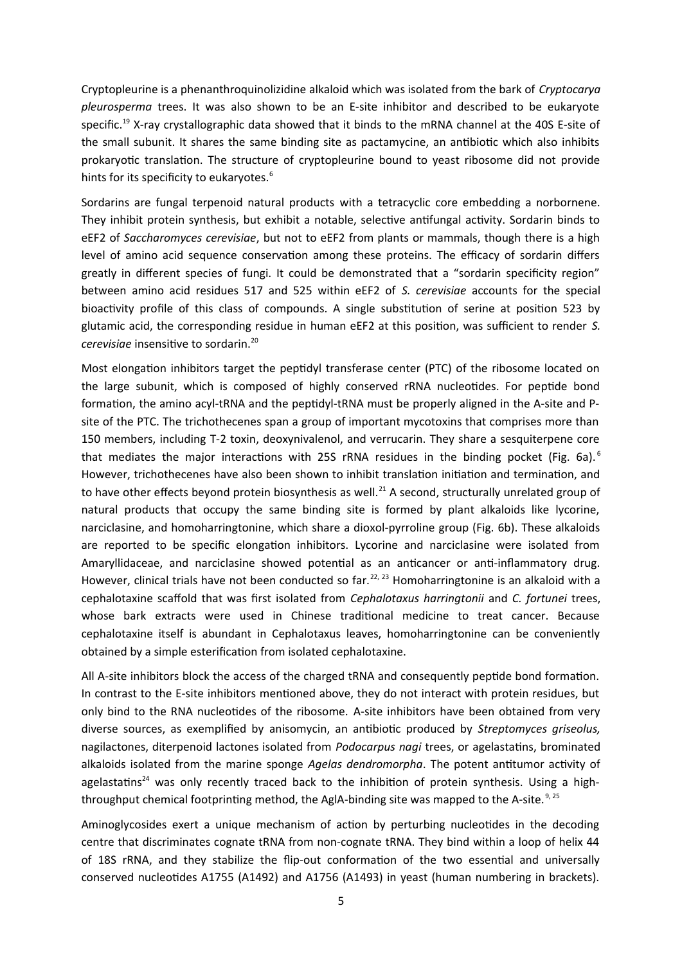Cryptopleurine is a phenanthroquinolizidine alkaloid which was isolated from the bark of *Cryptocarya pleurosperma* trees. It was also shown to be an E-site inhibitor and described to be eukaryote specific.<sup>19</sup> X-ray crystallographic data showed that it binds to the mRNA channel at the 40S E-site of the small subunit. It shares the same binding site as pactamycine, an antibiotic which also inhibits prokaryotic translation. The structure of cryptopleurine bound to yeast ribosome did not provide hints for its specificity to eukaryotes.<sup>6</sup>

Sordarins are fungal terpenoid natural products with a tetracyclic core embedding a norbornene. They inhibit protein synthesis, but exhibit a notable, selective antifungal activity. Sordarin binds to eEF2 of *Saccharomyces cerevisiae*, but not to eEF2 from plants or mammals, though there is a high level of amino acid sequence conservation among these proteins. The efficacy of sordarin differs greatly in different species of fungi. It could be demonstrated that a "sordarin specificity region" between amino acid residues 517 and 525 within eEF2 of *S. cerevisiae* accounts for the special bioactivity profile of this class of compounds. A single substitution of serine at position 523 by glutamic acid, the corresponding residue in human eEF2 at this position, was sufficient to render *S. cerevisiae* insensitive to sordarin.<sup>20</sup>

Most elongation inhibitors target the peptidyl transferase center (PTC) of the ribosome located on the large subunit, which is composed of highly conserved rRNA nucleotides. For peptide bond formation, the amino acyl-tRNA and the peptidyl-tRNA must be properly aligned in the A-site and Psite of the PTC. The trichothecenes span a group of important mycotoxins that comprises more than 150 members, including T-2 toxin, deoxynivalenol, and verrucarin. They share a sesquiterpene core that mediates the major interactions with 25S rRNA residues in the binding pocket (Fig. 6a).<sup>6</sup> However, trichothecenes have also been shown to inhibit translation initiation and termination, and to have other effects beyond protein biosynthesis as well.<sup>21</sup> A second, structurally unrelated group of natural products that occupy the same binding site is formed by plant alkaloids like lycorine, narciclasine, and homoharringtonine, which share a dioxol-pyrroline group (Fig. 6b). These alkaloids are reported to be specific elongation inhibitors. Lycorine and narciclasine were isolated from Amaryllidaceae, and narciclasine showed potential as an anticancer or anti-inflammatory drug. However, clinical trials have not been conducted so far.<sup>22, 23</sup> Homoharringtonine is an alkaloid with a cephalotaxine scaffold that was first isolated from *Cephalotaxus harringtonii* and *C. fortunei* trees, whose bark extracts were used in Chinese traditional medicine to treat cancer. Because cephalotaxine itself is abundant in Cephalotaxus leaves, homoharringtonine can be conveniently obtained by a simple esterification from isolated cephalotaxine.

All A-site inhibitors block the access of the charged tRNA and consequently peptide bond formation. In contrast to the E-site inhibitors mentioned above, they do not interact with protein residues, but only bind to the RNA nucleotides of the ribosome. A-site inhibitors have been obtained from very diverse sources, as exemplified by anisomycin, an antibiotic produced by *Streptomyces griseolus,* nagilactones, diterpenoid lactones isolated from *Podocarpus nagi* trees, or agelastatins, brominated alkaloids isolated from the marine sponge *Agelas dendromorpha*. The potent antitumor activity of agelastatins<sup>24</sup> was only recently traced back to the inhibition of protein synthesis. Using a highthroughput chemical footprinting method, the AgIA-binding site was mapped to the A-site.<sup>9, 25</sup>

Aminoglycosides exert a unique mechanism of action by perturbing nucleotides in the decoding centre that discriminates cognate tRNA from non-cognate tRNA. They bind within a loop of helix 44 of 18S rRNA, and they stabilize the flip-out conformation of the two essential and universally conserved nucleotides A1755 (A1492) and A1756 (A1493) in yeast (human numbering in brackets).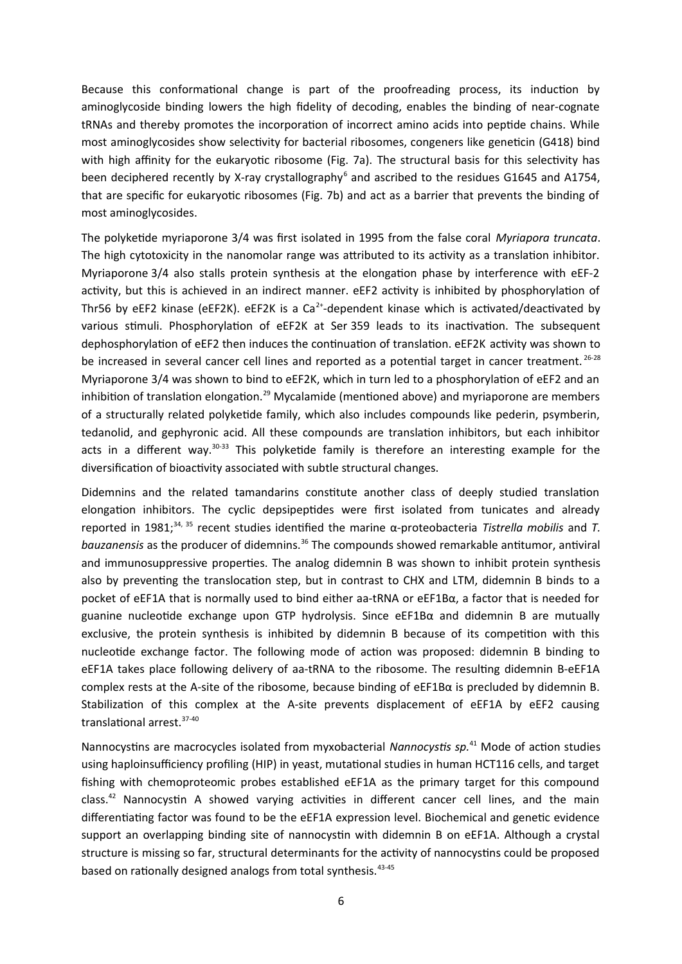Because this conformational change is part of the proofreading process, its induction by aminoglycoside binding lowers the high fidelity of decoding, enables the binding of near-cognate tRNAs and thereby promotes the incorporation of incorrect amino acids into peptide chains. While most aminoglycosides show selectivity for bacterial ribosomes, congeners like geneticin (G418) bind with high affinity for the eukaryotic ribosome (Fig. 7a). The structural basis for this selectivity has been deciphered recently by X-ray crystallography<sup>6</sup> and ascribed to the residues G1645 and A1754, that are specific for eukaryotic ribosomes (Fig. 7b) and act as a barrier that prevents the binding of most aminoglycosides.

The polyketide myriaporone 3/4 was first isolated in 1995 from the false coral *Myriapora truncata*. The high cytotoxicity in the nanomolar range was attributed to its activity as a translation inhibitor. Myriaporone 3/4 also stalls protein synthesis at the elongation phase by interference with eEF-2 activity, but this is achieved in an indirect manner. eEF2 activity is inhibited by phosphorylation of Thr56 by eEF2 kinase (eEF2K). eEF2K is a  $Ca^{2+}$ -dependent kinase which is activated/deactivated by various stimuli. Phosphorylation of eEF2K at Ser 359 leads to its inactivation. The subsequent dephosphorylation of eEF2 then induces the continuation of translation. eEF2K activity was shown to be increased in several cancer cell lines and reported as a potential target in cancer treatment.<sup>26-28</sup> Myriaporone 3/4 was shown to bind to eEF2K, which in turn led to a phosphorylation of eEF2 and an inhibition of translation elongation.<sup>29</sup> Mycalamide (mentioned above) and myriaporone are members of a structurally related polyketide family, which also includes compounds like pederin, psymberin, tedanolid, and gephyronic acid. All these compounds are translation inhibitors, but each inhibitor acts in a different way.<sup>30-33</sup> This polyketide family is therefore an interesting example for the diversification of bioactivity associated with subtle structural changes.

Didemnins and the related tamandarins constitute another class of deeply studied translation elongation inhibitors. The cyclic depsipeptides were first isolated from tunicates and already reported in 1981;34, 35 recent studies identified the marine α-proteobacteria *Tistrella mobilis* and *T. bauzanensis* as the producer of didemnins.<sup>36</sup> The compounds showed remarkable antitumor, antiviral and immunosuppressive properties. The analog didemnin B was shown to inhibit protein synthesis also by preventing the translocation step, but in contrast to CHX and LTM, didemnin B binds to a pocket of eEF1A that is normally used to bind either aa-tRNA or eEF1Bα, a factor that is needed for guanine nucleotide exchange upon GTP hydrolysis. Since eEF1Bα and didemnin B are mutually exclusive, the protein synthesis is inhibited by didemnin B because of its competition with this nucleotide exchange factor. The following mode of action was proposed: didemnin B binding to eEF1A takes place following delivery of aa-tRNA to the ribosome. The resulting didemnin B-eEF1A complex rests at the A-site of the ribosome, because binding of eEF1Bα is precluded by didemnin B. Stabilization of this complex at the A-site prevents displacement of eEF1A by eEF2 causing translational arrest.37-40

Nannocystins are macrocycles isolated from myxobacterial *Nannocystis sp.*<sup>41</sup> Mode of action studies using haploinsufficiency profiling (HIP) in yeast, mutational studies in human HCT116 cells, and target fishing with chemoproteomic probes established eEF1A as the primary target for this compound class.<sup>42</sup> Nannocystin A showed varying activities in different cancer cell lines, and the main differentiating factor was found to be the eEF1A expression level. Biochemical and genetic evidence support an overlapping binding site of nannocystin with didemnin B on eEF1A. Although a crystal structure is missing so far, structural determinants for the activity of nannocystins could be proposed based on rationally designed analogs from total synthesis.<sup>43-45</sup>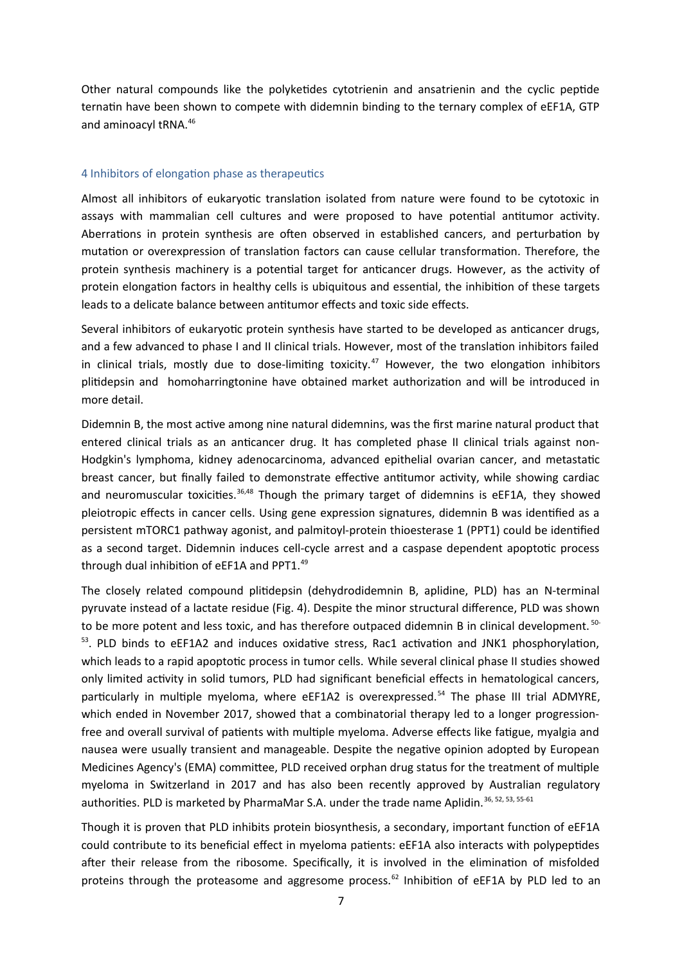Other natural compounds like the polyketides cytotrienin and ansatrienin and the cyclic peptide ternatin have been shown to compete with didemnin binding to the ternary complex of eEF1A, GTP and aminoacyl tRNA.<sup>46</sup>

## <span id="page-6-0"></span>4 Inhibitors of elongation phase as therapeutics

Almost all inhibitors of eukaryotic translation isolated from nature were found to be cytotoxic in assays with mammalian cell cultures and were proposed to have potential antitumor activity. Aberrations in protein synthesis are often observed in established cancers, and perturbation by mutation or overexpression of translation factors can cause cellular transformation. Therefore, the protein synthesis machinery is a potential target for anticancer drugs. However, as the activity of protein elongation factors in healthy cells is ubiquitous and essential, the inhibition of these targets leads to a delicate balance between antitumor effects and toxic side effects.

Several inhibitors of eukaryotic protein synthesis have started to be developed as anticancer drugs, and a few advanced to phase I and II clinical trials. However, most of the translation inhibitors failed in clinical trials, mostly due to dose-limiting toxicity.<sup>47</sup> However, the two elongation inhibitors plitidepsin and homoharringtonine have obtained market authorization and will be introduced in more detail.

Didemnin B, the most active among nine natural didemnins, was the first marine natural product that entered clinical trials as an anticancer drug. It has completed phase II clinical trials against non-Hodgkin's lymphoma, kidney adenocarcinoma, advanced epithelial ovarian cancer, and metastatic breast cancer, but finally failed to demonstrate effective antitumor activity, while showing cardiac and neuromuscular toxicities.<sup>36,48</sup> Though the primary target of didemnins is eEF1A, they showed pleiotropic effects in cancer cells. Using gene expression signatures, didemnin B was identified as a persistent mTORC1 pathway agonist, and palmitoyl-protein thioesterase 1 (PPT1) could be identified as a second target. Didemnin induces cell-cycle arrest and a caspase dependent apoptotic process through dual inhibition of eEF1A and PPT1.<sup>49</sup>

The closely related compound plitidepsin (dehydrodidemnin B, aplidine, PLD) has an N-terminal pyruvate instead of a lactate residue (Fig. 4). Despite the minor structural difference, PLD was shown to be more potent and less toxic, and has therefore outpaced didemnin B in clinical development. <sup>50-</sup> <sup>53</sup>. PLD binds to eEF1A2 and induces oxidative stress, Rac1 activation and JNK1 phosphorylation, which leads to a rapid apoptotic process in tumor cells. While several clinical phase II studies showed only limited activity in solid tumors, PLD had significant beneficial effects in hematological cancers, particularly in multiple myeloma, where eEF1A2 is overexpressed.<sup>54</sup> The phase III trial ADMYRE, which ended in November 2017, showed that a combinatorial therapy led to a longer progressionfree and overall survival of patients with multiple myeloma. Adverse effects like fatigue, myalgia and nausea were usually transient and manageable. Despite the negative opinion adopted by European Medicines Agency's (EMA) committee, PLD received orphan drug status for the treatment of multiple myeloma in Switzerland in 2017 and has also been recently approved by Australian regulatory authorities. PLD is marketed by PharmaMar S.A. under the trade name Aplidin.<sup>36, 52, 53, 55-61</sup>

Though it is proven that PLD inhibits protein biosynthesis, a secondary, important function of eEF1A could contribute to its beneficial effect in myeloma patients: eEF1A also interacts with polypeptides after their release from the ribosome. Specifically, it is involved in the elimination of misfolded proteins through the proteasome and aggresome process.<sup>62</sup> Inhibition of eEF1A by PLD led to an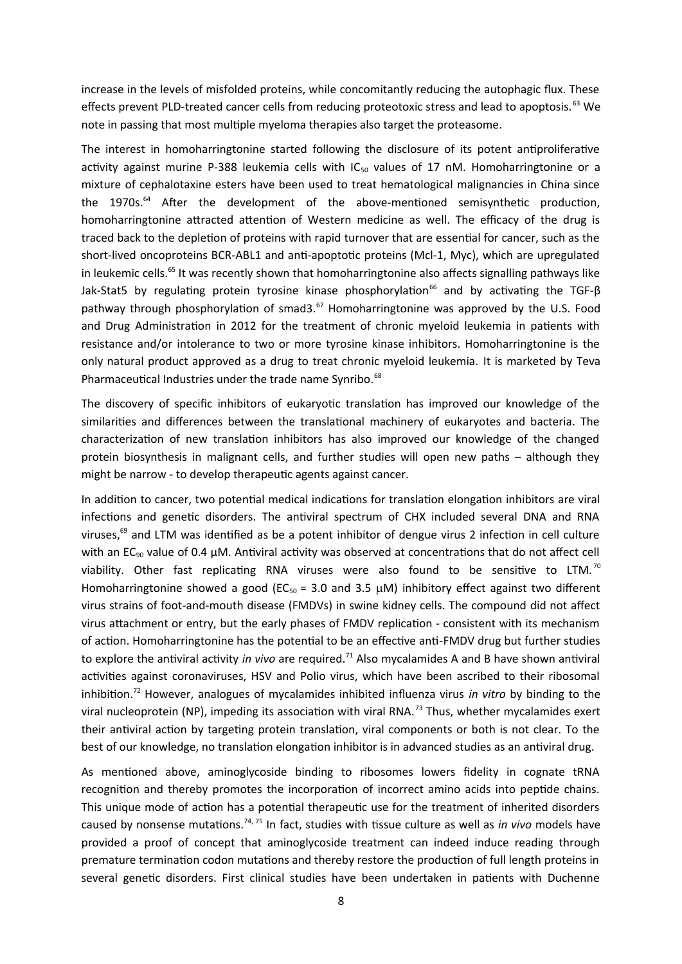increase in the levels of misfolded proteins, while concomitantly reducing the autophagic flux. These effects prevent PLD-treated cancer cells from reducing proteotoxic stress and lead to apoptosis.<sup>63</sup> We note in passing that most multiple myeloma therapies also target the proteasome.

The interest in homoharringtonine started following the disclosure of its potent antiproliferative activity against murine P-388 leukemia cells with  $IC_{50}$  values of 17 nM. Homoharringtonine or a mixture of cephalotaxine esters have been used to treat hematological malignancies in China since the 1970s.<sup>64</sup> After the development of the above-mentioned semisynthetic production, homoharringtonine attracted attention of Western medicine as well. The efficacy of the drug is traced back to the depletion of proteins with rapid turnover that are essential for cancer, such as the short-lived oncoproteins BCR-ABL1 and anti-apoptotic proteins (Mcl-1, Myc), which are upregulated in leukemic cells.<sup>65</sup> It was recently shown that homoharringtonine also affects signalling pathways like Jak-Stat5 by regulating protein tyrosine kinase phosphorylation<sup>66</sup> and by activating the TGF-β pathway through phosphorylation of smad3.<sup>67</sup> Homoharringtonine was approved by the U.S. Food and Drug Administration in 2012 for the treatment of chronic myeloid leukemia in patients with resistance and/or intolerance to two or more tyrosine kinase inhibitors. Homoharringtonine is the only natural product approved as a drug to treat chronic myeloid leukemia. It is marketed by Teva Pharmaceutical Industries under the trade name Synribo.<sup>68</sup>

The discovery of specific inhibitors of eukaryotic translation has improved our knowledge of the similarities and differences between the translational machinery of eukaryotes and bacteria. The characterization of new translation inhibitors has also improved our knowledge of the changed protein biosynthesis in malignant cells, and further studies will open new paths – although they might be narrow - to develop therapeutic agents against cancer.

In addition to cancer, two potential medical indications for translation elongation inhibitors are viral infections and genetic disorders. The antiviral spectrum of CHX included several DNA and RNA viruses, $69$  and LTM was identified as be a potent inhibitor of dengue virus 2 infection in cell culture with an EC<sub>90</sub> value of 0.4  $\mu$ M. Antiviral activity was observed at concentrations that do not affect cell viability. Other fast replicating RNA viruses were also found to be sensitive to LTM.<sup>70</sup> Homoharringtonine showed a good (EC<sub>50</sub> = 3.0 and 3.5  $\mu$ M) inhibitory effect against two different virus strains of foot-and-mouth disease (FMDVs) in swine kidney cells. The compound did not affect virus attachment or entry, but the early phases of FMDV replication - consistent with its mechanism of action. Homoharringtonine has the potential to be an effective anti-FMDV drug but further studies to explore the antiviral activity *in vivo* are required.<sup>71</sup> Also mycalamides A and B have shown antiviral activities against coronaviruses, HSV and Polio virus, which have been ascribed to their ribosomal inhibition.<sup>72</sup> However, analogues of mycalamides inhibited influenza virus *in vitro* by binding to the viral nucleoprotein (NP), impeding its association with viral RNA.<sup>73</sup> Thus, whether mycalamides exert their antiviral action by targeting protein translation, viral components or both is not clear. To the best of our knowledge, no translation elongation inhibitor is in advanced studies as an antiviral drug.

As mentioned above, aminoglycoside binding to ribosomes lowers fidelity in cognate tRNA recognition and thereby promotes the incorporation of incorrect amino acids into peptide chains. This unique mode of action has a potential therapeutic use for the treatment of inherited disorders caused by nonsense mutations.74, 75 In fact, studies with tissue culture as well as *in vivo* models have provided a proof of concept that aminoglycoside treatment can indeed induce reading through premature termination codon mutations and thereby restore the production of full length proteins in several genetic disorders. First clinical studies have been undertaken in patients with Duchenne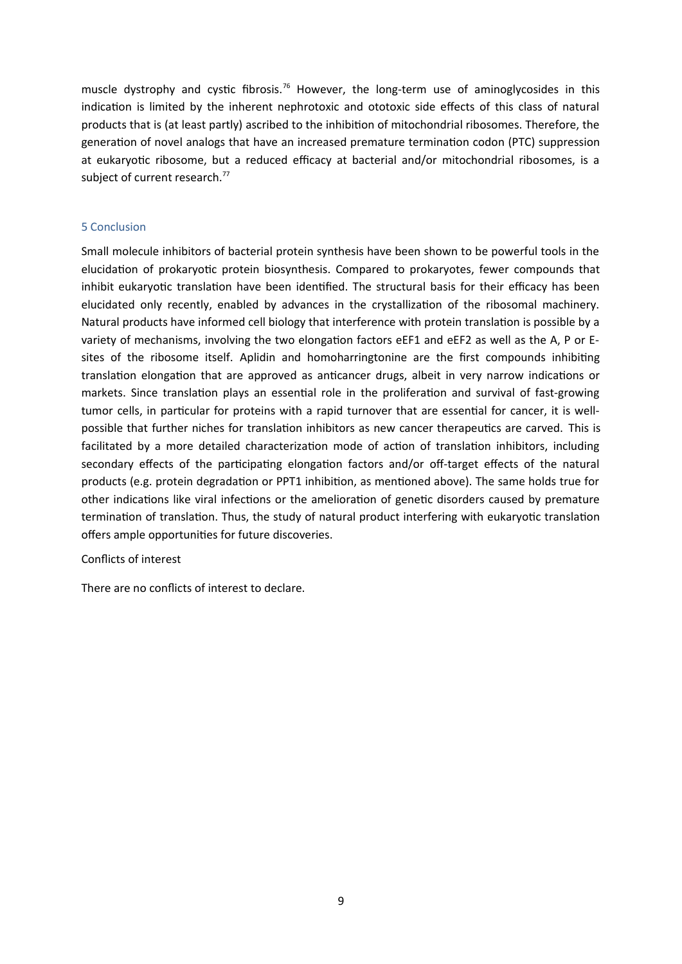muscle dystrophy and cystic fibrosis.<sup>76</sup> However, the long-term use of aminoglycosides in this indication is limited by the inherent nephrotoxic and ototoxic side effects of this class of natural products that is (at least partly) ascribed to the inhibition of mitochondrial ribosomes. Therefore, the generation of novel analogs that have an increased premature termination codon (PTC) suppression at eukaryotic ribosome, but a reduced efficacy at bacterial and/or mitochondrial ribosomes, is a subject of current research.<sup>77</sup>

## <span id="page-8-0"></span>5 Conclusion

Small molecule inhibitors of bacterial protein synthesis have been shown to be powerful tools in the elucidation of prokaryotic protein biosynthesis. Compared to prokaryotes, fewer compounds that inhibit eukaryotic translation have been identified. The structural basis for their efficacy has been elucidated only recently, enabled by advances in the crystallization of the ribosomal machinery. Natural products have informed cell biology that interference with protein translation is possible by a variety of mechanisms, involving the two elongation factors eEF1 and eEF2 as well as the A, P or Esites of the ribosome itself. Aplidin and homoharringtonine are the first compounds inhibiting translation elongation that are approved as anticancer drugs, albeit in very narrow indications or markets. Since translation plays an essential role in the proliferation and survival of fast-growing tumor cells, in particular for proteins with a rapid turnover that are essential for cancer, it is wellpossible that further niches for translation inhibitors as new cancer therapeutics are carved. This is facilitated by a more detailed characterization mode of action of translation inhibitors, including secondary effects of the participating elongation factors and/or off-target effects of the natural products (e.g. protein degradation or PPT1 inhibition, as mentioned above). The same holds true for other indications like viral infections or the amelioration of genetic disorders caused by premature termination of translation. Thus, the study of natural product interfering with eukaryotic translation offers ample opportunities for future discoveries.

## Conflicts of interest

There are no conflicts of interest to declare.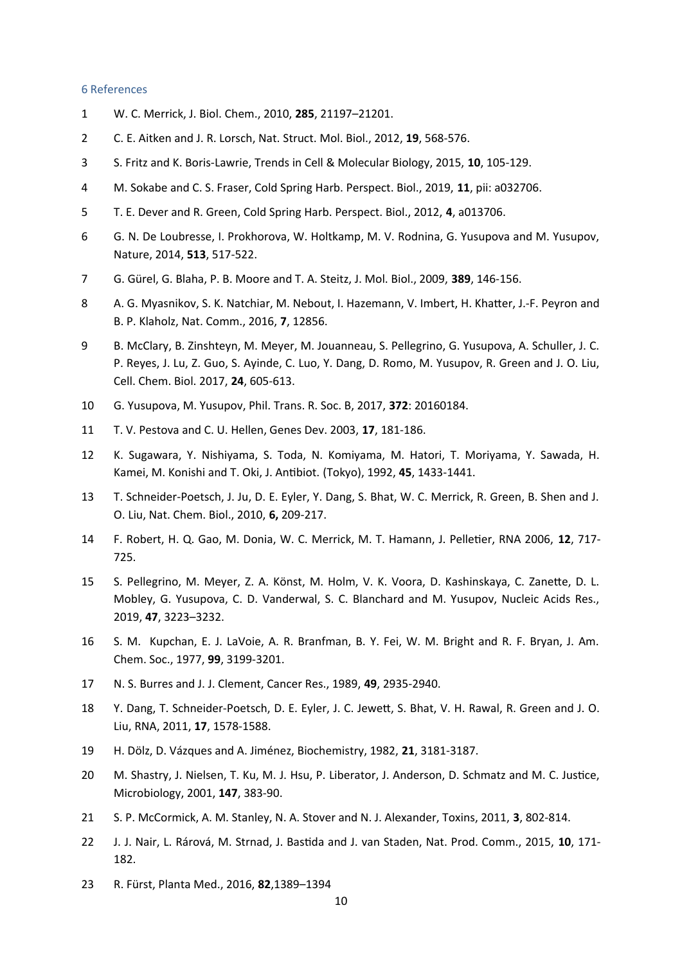#### <span id="page-9-0"></span>6 References

- 1 W. C. Merrick, J. Biol. Chem., 2010, **285**, 21197–21201.
- 2 C. E. Aitken and J. R. Lorsch, Nat. Struct. Mol. Biol., 2012, **19**, 568-576.
- 3 S. Fritz and K. Boris-Lawrie, Trends in Cell & Molecular Biology, 2015, **10**, 105-129.
- 4 M. Sokabe and C. S. Fraser, Cold Spring Harb. Perspect. Biol., 2019, **11**, pii: a032706.
- 5 T. E. Dever and R. Green, Cold Spring Harb. Perspect. Biol., 2012, **4**, a013706.
- 6 G. N. De Loubresse, I. Prokhorova, W. Holtkamp, M. V. Rodnina, G. Yusupova and M. Yusupov, Nature, 2014, **513**, 517-522.
- 7 G. Gürel, G. Blaha, P. B. Moore and T. A. Steitz, J. Mol. Biol., 2009, **389**, 146-156.
- 8 A. G. Myasnikov, S. K. Natchiar, M. Nebout, I. Hazemann, V. Imbert, H. Khatter, J.-F. Peyron and B. P. Klaholz, Nat. Comm., 2016, **7**, 12856.
- 9 B. McClary, B. Zinshteyn, M. Meyer, M. Jouanneau, S. Pellegrino, G. Yusupova, A. Schuller, J. C. P. Reyes, J. Lu, Z. Guo, S. Ayinde, C. Luo, Y. Dang, D. Romo, M. Yusupov, R. Green and J. O. Liu, Cell. Chem. Biol. 2017, **24**, 605-613.
- 10 G. Yusupova, M. Yusupov, Phil. Trans. R. Soc. B, 2017, **372**: 20160184.
- 11 T. V. Pestova and C. U. Hellen, Genes Dev. 2003, **17**, 181-186.
- 12 K. Sugawara, Y. Nishiyama, S. Toda, N. Komiyama, M. Hatori, T. Moriyama, Y. Sawada, H. Kamei, M. Konishi and T. Oki, J. Antibiot. (Tokyo), 1992, **45**, 1433-1441.
- 13 T. Schneider-Poetsch, J. Ju, D. E. Eyler, Y. Dang, S. Bhat, W. C. Merrick, R. Green, B. Shen and J. O. Liu, Nat. Chem. Biol., 2010, **6,** 209-217.
- 14 F. Robert, H. Q. Gao, M. Donia, W. C. Merrick, M. T. Hamann, J. Pelletier, RNA 2006, **12**, 717- 725.
- 15 S. Pellegrino, M. Meyer, Z. A. Könst, M. Holm, V. K. Voora, D. Kashinskaya, C. Zanette, D. L. Mobley, G. Yusupova, C. D. Vanderwal, S. C. Blanchard and M. Yusupov, Nucleic Acids Res., 2019, **47**, 3223–3232.
- 16 S. M. Kupchan, E. J. LaVoie, A. R. Branfman, B. Y. Fei, W. M. Bright and R. F. Bryan, J. Am. Chem. Soc., 1977, **99**, 3199-3201.
- 17 N. S. Burres and J. J. Clement, Cancer Res., 1989, **49**, 2935-2940.
- 18 Y. Dang, T. Schneider-Poetsch, D. E. Eyler, J. C. Jewett, S. Bhat, V. H. Rawal, R. Green and J. O. Liu, RNA, 2011, **17**, 1578-1588.
- 19 H. Dölz, D. Vázques and A. Jiménez, Biochemistry, 1982, **21**, 3181-3187.
- 20 M. Shastry, J. Nielsen, T. Ku, M. J. Hsu, P. Liberator, J. Anderson, D. Schmatz and M. C. Justice, Microbiology, 2001, **147**, 383-90.
- 21 S. P. McCormick, A. M. Stanley, N. A. Stover and N. J. Alexander, Toxins, 2011, **3**, 802-814.
- 22 J. J. Nair, L. Rárová, M. Strnad, J. Bastida and J. van Staden, Nat. Prod. Comm., 2015, **10**, 171- 182.
- 23 R. Fürst, Planta Med., 2016, **82**,1389–1394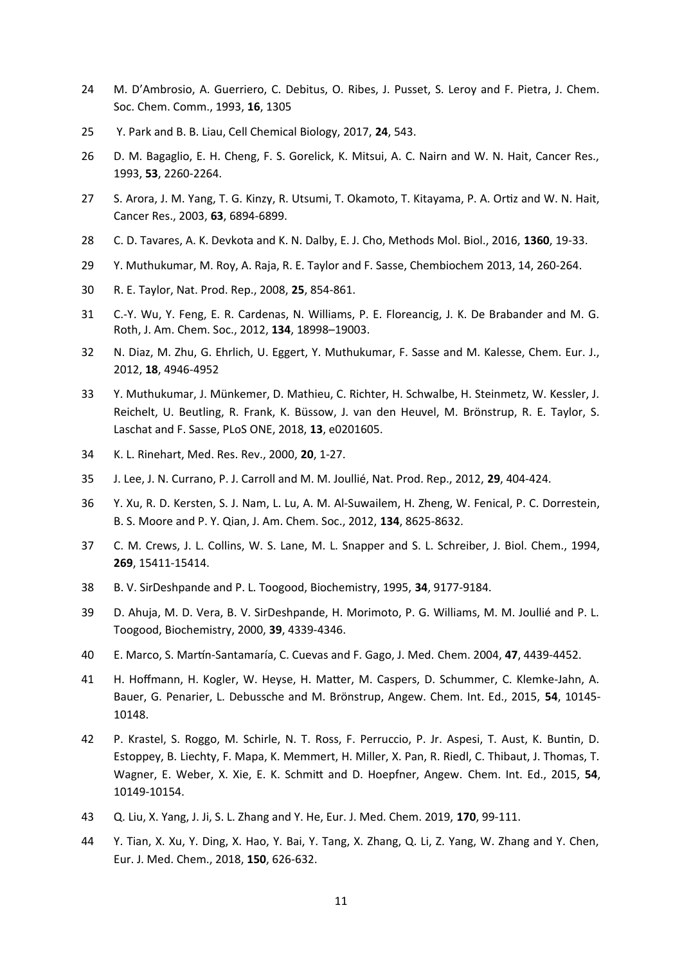- 24 M. D'Ambrosio, A. Guerriero, C. Debitus, O. Ribes, J. Pusset, S. Leroy and F. Pietra, J. Chem. Soc. Chem. Comm., 1993, **16**, 1305
- 25 Y. Park and B. B. Liau, Cell Chemical Biology, 2017, **24**, 543.
- 26 D. M. Bagaglio, E. H. Cheng, F. S. Gorelick, K. Mitsui, A. C. Nairn and W. N. Hait, Cancer Res., 1993, **53**, 2260-2264.
- 27 S. Arora, J. M. Yang, T. G. Kinzy, R. Utsumi, T. Okamoto, T. Kitayama, P. A. Ortiz and W. N. Hait, Cancer Res., 2003, **63**, 6894-6899.
- 28 C. D. Tavares, A. K. Devkota and K. N. Dalby, E. J. Cho, Methods Mol. Biol., 2016, **1360**, 19-33.
- 29 Y. Muthukumar, M. Roy, A. Raja, R. E. Taylor and F. Sasse, Chembiochem 2013, 14, 260-264.
- 30 R. E. Taylor, Nat. Prod. Rep., 2008, **25**, 854-861.
- 31 C.-Y. Wu, Y. Feng, E. R. Cardenas, N. Williams, P. E. Floreancig, J. K. De Brabander and M. G. Roth, J. Am. Chem. Soc., 2012, **134**, 18998–19003.
- 32 N. Diaz, M. Zhu, G. Ehrlich, U. Eggert, Y. Muthukumar, F. Sasse and M. Kalesse, Chem. Eur. J., 2012, **18**, 4946-4952
- 33 Y. Muthukumar, J. Münkemer, D. Mathieu, C. Richter, H. Schwalbe, H. Steinmetz, W. Kessler, J. Reichelt, U. Beutling, R. Frank, K. Büssow, J. van den Heuvel, M. Brönstrup, R. E. Taylor, S. Laschat and F. Sasse, PLoS ONE, 2018, **13**, e0201605.
- 34 K. L. Rinehart, Med. Res. Rev., 2000, **20**, 1-27.
- 35 J. Lee, J. N. Currano, P. J. Carroll and M. M. Joullié, Nat. Prod. Rep., 2012, **29**, 404-424.
- 36 Y. Xu, R. D. Kersten, S. J. Nam, L. Lu, A. M. Al-Suwailem, H. Zheng, W. Fenical, P. C. Dorrestein, B. S. Moore and P. Y. Qian, J. Am. Chem. Soc., 2012, **134**, 8625-8632.
- 37 C. M. Crews, J. L. Collins, W. S. Lane, M. L. Snapper and S. L. Schreiber, J. Biol. Chem., 1994, **269**, 15411-15414.
- 38 B. V. SirDeshpande and P. L. Toogood, Biochemistry, 1995, **34**, 9177-9184.
- 39 D. Ahuja, M. D. Vera, B. V. SirDeshpande, H. Morimoto, P. G. Williams, M. M. Joullié and P. L. Toogood, Biochemistry, 2000, **39**, 4339-4346.
- 40 E. Marco, S. Martín-Santamaría, C. Cuevas and F. Gago, J. Med. Chem. 2004, **47**, 4439-4452.
- 41 H. Hoffmann, H. Kogler, W. Heyse, H. Matter, M. Caspers, D. Schummer, C. Klemke-Jahn, A. Bauer, G. Penarier, L. Debussche and M. Brönstrup, Angew. Chem. Int. Ed., 2015, **54**, 10145- 10148.
- 42 P. Krastel, S. Roggo, M. Schirle, N. T. Ross, F. Perruccio, P. Jr. Aspesi, T. Aust, K. Buntin, D. Estoppey, B. Liechty, F. Mapa, K. Memmert, H. Miller, X. Pan, R. Riedl, C. Thibaut, J. Thomas, T. Wagner, E. Weber, X. Xie, E. K. Schmitt and D. Hoepfner, Angew. Chem. Int. Ed., 2015, **54**, 10149-10154.
- 43 Q. Liu, X. Yang, J. Ji, S. L. Zhang and Y. He, Eur. J. Med. Chem. 2019, **170**, 99-111.
- 44 Y. Tian, X. Xu, Y. Ding, X. Hao, Y. Bai, Y. Tang, X. Zhang, Q. Li, Z. Yang, W. Zhang and Y. Chen, Eur. J. Med. Chem., 2018, **150**, 626-632.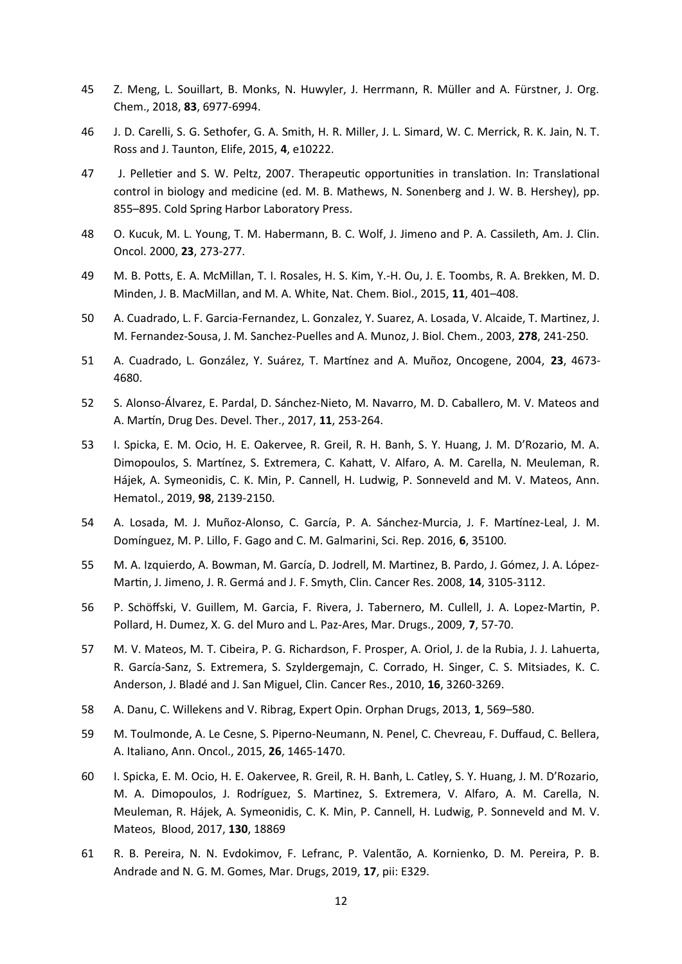- 45 Z. Meng, L. Souillart, B. Monks, N. Huwyler, J. Herrmann, R. Müller and A. Fürstner, J. Org. Chem., 2018, **83**, 6977-6994.
- 46 J. D. Carelli, S. G. Sethofer, G. A. Smith, H. R. Miller, J. L. Simard, W. C. Merrick, R. K. Jain, N. T. Ross and J. Taunton, Elife, 2015, **4**, e10222.
- 47 J. Pelletier and S. W. Peltz, 2007. Therapeutic opportunities in translation. In: Translational control in biology and medicine (ed. M. B. Mathews, N. Sonenberg and J. W. B. Hershey), pp. 855–895. Cold Spring Harbor Laboratory Press.
- 48 O. Kucuk, M. L. Young, T. M. Habermann, B. C. Wolf, J. Jimeno and P. A. Cassileth, Am. J. Clin. Oncol. 2000, **23**, 273-277.
- 49 M. B. Potts, E. A. McMillan, T. I. Rosales, H. S. Kim, Y.-H. Ou, J. E. Toombs, R. A. Brekken, M. D. Minden, J. B. MacMillan, and M. A. White, Nat. Chem. Biol., 2015, **11**, 401–408.
- 50 A. Cuadrado, L. F. Garcia-Fernandez, L. Gonzalez, Y. Suarez, A. Losada, V. Alcaide, T. Martinez, J. M. Fernandez-Sousa, J. M. Sanchez-Puelles and A. Munoz, J. Biol. Chem., 2003, **278**, 241-250.
- 51 A. Cuadrado, L. González, Y. Suárez, T. Martínez and A. Muñoz, Oncogene, 2004, **23**, 4673- 4680.
- 52 S. Alonso-Álvarez, E. Pardal, D. Sánchez-Nieto, M. Navarro, M. D. Caballero, M. V. Mateos and A. Martín, Drug Des. Devel. Ther., 2017, **11**, 253-264.
- 53 I. Spicka, E. M. Ocio, H. E. Oakervee, R. Greil, R. H. Banh, S. Y. Huang, J. M. D'Rozario, M. A. Dimopoulos, S. Martínez, S. Extremera, C. Kahatt, V. Alfaro, A. M. Carella, N. Meuleman, R. Hájek, A. Symeonidis, C. K. Min, P. Cannell, H. Ludwig, P. Sonneveld and M. V. Mateos, Ann. Hematol., 2019, **98**, 2139-2150.
- 54 A. Losada, M. J. Muñoz-Alonso, C. García, P. A. Sánchez-Murcia, J. F. Martínez-Leal, J. M. Domínguez, M. P. Lillo, F. Gago and C. M. Galmarini, Sci. Rep. 2016, **6**, 35100.
- 55 M. A. Izquierdo, A. Bowman, M. García, D. Jodrell, M. Martinez, B. Pardo, J. Gómez, J. A. López-Martin, J. Jimeno, J. R. Germá and J. F. Smyth, Clin. Cancer Res. 2008, **14**, 3105-3112.
- 56 P. Schöffski, V. Guillem, M. Garcia, F. Rivera, J. Tabernero, M. Cullell, J. A. Lopez-Martin, P. Pollard, H. Dumez, X. G. del Muro and L. Paz-Ares, Mar. Drugs., 2009, **7**, 57-70.
- 57 M. V. Mateos, M. T. Cibeira, P. G. Richardson, F. Prosper, A. Oriol, J. de la Rubia, J. J. Lahuerta, R. García-Sanz, S. Extremera, S. Szyldergemajn, C. Corrado, H. Singer, C. S. Mitsiades, K. C. Anderson, J. Bladé and J. San Miguel, Clin. Cancer Res., 2010, **16**, 3260-3269.
- 58 A. Danu, C. Willekens and V. Ribrag, Expert Opin. Orphan Drugs, 2013, **1**, 569–580.
- 59 M. Toulmonde, A. Le Cesne, S. Piperno-Neumann, N. Penel, C. Chevreau, F. Duffaud, C. Bellera, A. Italiano, Ann. Oncol., 2015, **26**, 1465-1470.
- 60 I. Spicka, E. M. Ocio, H. E. Oakervee, R. Greil, R. H. Banh, L. Catley, S. Y. Huang, J. M. D'Rozario, M. A. Dimopoulos, J. Rodríguez, S. Martinez, S. Extremera, V. Alfaro, A. M. Carella, N. Meuleman, R. Hájek, A. Symeonidis, C. K. Min, P. Cannell, H. Ludwig, P. Sonneveld and M. V. Mateos, Blood, 2017, **130**, 18869
- 61 R. B. Pereira, N. N. Evdokimov, F. Lefranc, P. Valentão, A. Kornienko, D. M. Pereira, P. B. Andrade and N. G. M. Gomes, Mar. Drugs, 2019, **17**, pii: E329.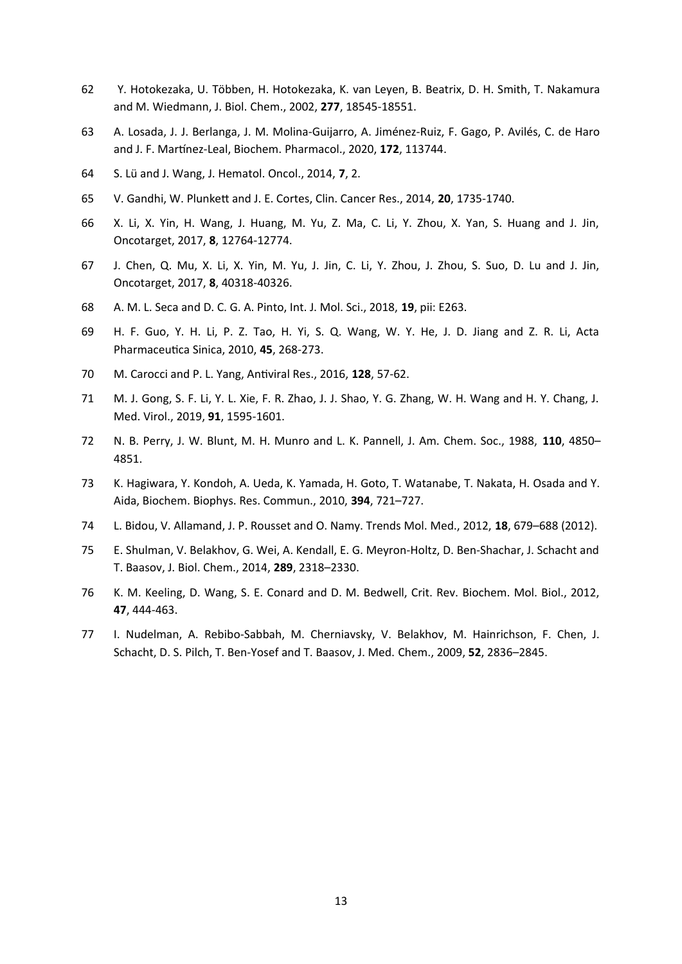- 62 Y. Hotokezaka, U. Többen, H. Hotokezaka, K. van Leyen, B. Beatrix, D. H. Smith, T. Nakamura and M. Wiedmann, J. Biol. Chem., 2002, **277**, 18545-18551.
- 63 A. Losada, J. J. Berlanga, J. M. Molina-Guijarro, A. Jiménez-Ruiz, F. Gago, P. Avilés, C. de Haro and J. F. Martínez-Leal, Biochem. Pharmacol., 2020, **172**, 113744.
- 64 S. Lü and J. Wang, J. Hematol. Oncol., 2014, **7**, 2.
- 65 V. Gandhi, W. Plunkett and J. E. Cortes, Clin. Cancer Res., 2014, **20**, 1735-1740.
- 66 X. Li, X. Yin, H. Wang, J. Huang, M. Yu, Z. Ma, C. Li, Y. Zhou, X. Yan, S. Huang and J. Jin, Oncotarget, 2017, **8**, 12764-12774.
- 67 J. Chen, Q. Mu, X. Li, X. Yin, M. Yu, J. Jin, C. Li, Y. Zhou, J. Zhou, S. Suo, D. Lu and J. Jin, Oncotarget, 2017, **8**, 40318-40326.
- 68 A. M. L. Seca and D. C. G. A. Pinto, Int. J. Mol. Sci., 2018, **19**, pii: E263.
- 69 H. F. Guo, Y. H. Li, P. Z. Tao, H. Yi, S. Q. Wang, W. Y. He, J. D. Jiang and Z. R. Li, Acta Pharmaceutica Sinica, 2010, **45**, 268-273.
- 70 M. Carocci and P. L. Yang, Antiviral Res., 2016, **128**, 57-62.
- 71 M. J. Gong, S. F. Li, Y. L. Xie, F. R. Zhao, J. J. Shao, Y. G. Zhang, W. H. Wang and H. Y. Chang, J. Med. Virol., 2019, **91**, 1595-1601.
- 72 N. B. Perry, J. W. Blunt, M. H. Munro and L. K. Pannell, J. Am. Chem. Soc., 1988, **110**, 4850– 4851.
- 73 K. Hagiwara, Y. Kondoh, A. Ueda, K. Yamada, H. Goto, T. Watanabe, T. Nakata, H. Osada and Y. Aida, Biochem. Biophys. Res. Commun., 2010, **394**, 721–727.
- 74 L. Bidou, V. Allamand, J. P. Rousset and O. Namy. Trends Mol. Med., 2012, **18**, 679–688 (2012).
- 75 E. Shulman, V. Belakhov, G. Wei, A. Kendall, E. G. Meyron-Holtz, D. Ben-Shachar, J. Schacht and T. Baasov, J. Biol. Chem., 2014, **289**, 2318–2330.
- 76 K. M. Keeling, D. Wang, S. E. Conard and D. M. Bedwell, Crit. Rev. Biochem. Mol. Biol., 2012, **47**, 444-463.
- 77 I. Nudelman, A. Rebibo-Sabbah, M. Cherniavsky, V. Belakhov, M. Hainrichson, F. Chen, J. Schacht, D. S. Pilch, T. Ben-Yosef and T. Baasov, J. Med. Chem., 2009, **52**, 2836–2845.